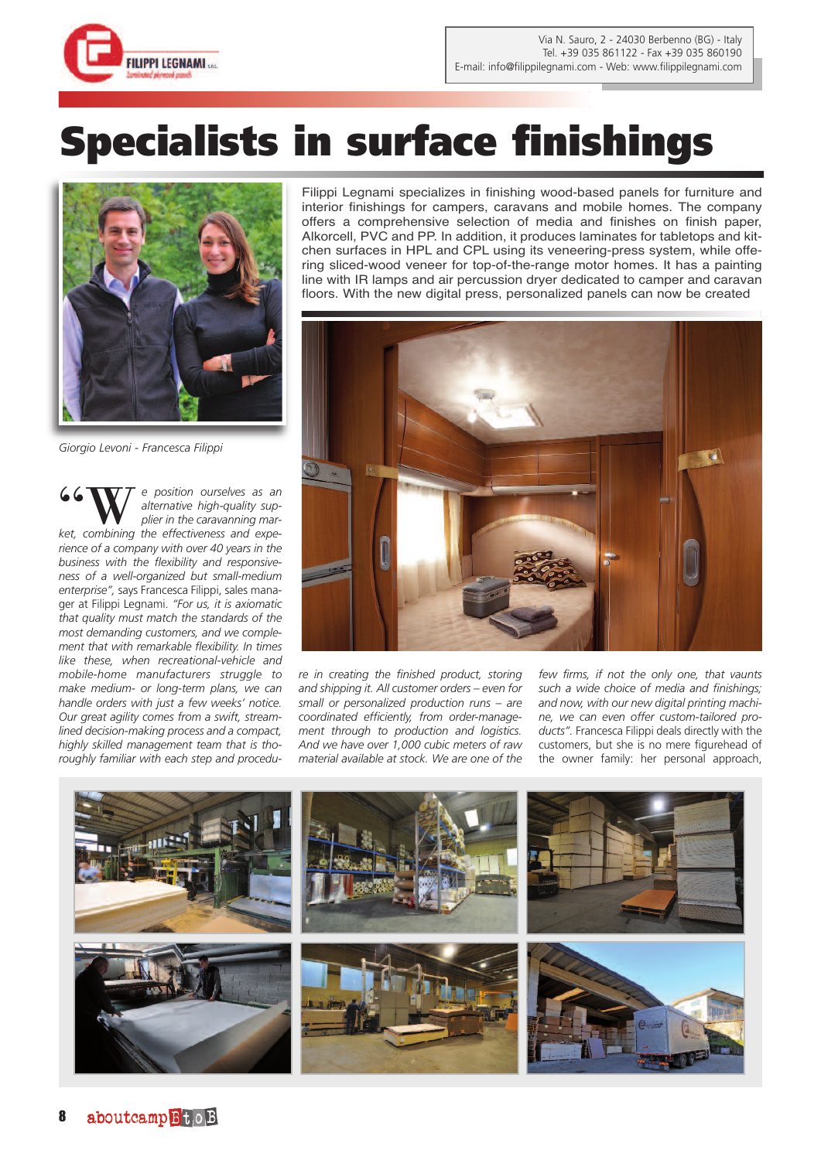

## **Specialists in surface finishings**



*Giorgio Levoni - Francesca Filippi*

"W*<sup>e</sup> position ourselves as an plier in the caravanning maralternative high-quality supket, combining the effectiveness and experience of a company with over 40 years in the business with the flexibility and responsiveness of a well-organized but small-medium enterprise",* says Francesca Filippi, sales manager at Filippi Legnami. *"For us, it is axiomatic that quality must match the standards of the most demanding customers, and we complement that with remarkable flexibility. In times like these, when recreational-vehicle and mobile-home manufacturers struggle to make medium- or long-term plans, we can handle orders with just a few weeks' notice. Our great agility comes from a swift, streamlined decision-making process and a compact, highly skilled management team that is thoroughly familiar with each step and procedu-*

Filippi Legnami specializes in finishing wood-based panels for furniture and interior finishings for campers, caravans and mobile homes. The company offers a comprehensive selection of media and finishes on finish paper, Alkorcell, PVC and PP. In addition, it produces laminates for tabletops and kitchen surfaces in HPL and CPL using its veneering-press system, while offering sliced-wood veneer for top-of-the-range motor homes. It has a painting line with IR lamps and air percussion dryer dedicated to camper and caravan floors. With the new digital press, personalized panels can now be created



*re in creating the finished product, storing and shipping it. All customer orders – even for small or personalized production runs – are coordinated efficiently, from order-management through to production and logistics. And we have over 1,000 cubic meters of raw material available at stock. We are one of the*

*few firms, if not the only one, that vaunts such a wide choice of media and finishings; and now, with our new digital printing machine, we can even offer custom-tailored products".* Francesca Filippi deals directly with the customers, but she is no mere figurehead of the owner family: her personal approach,